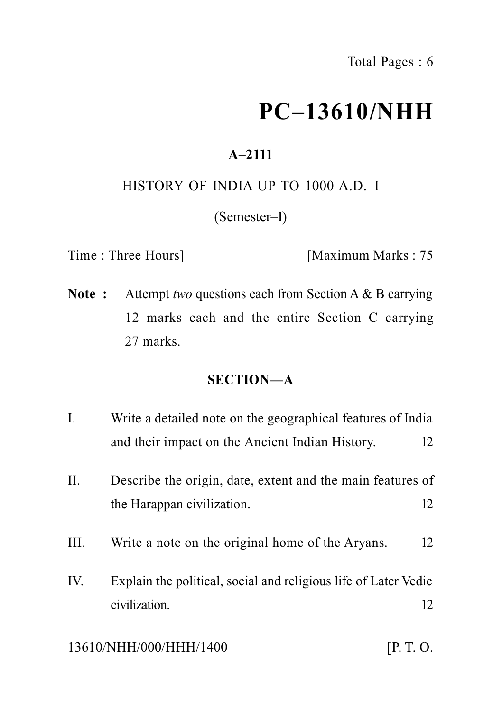# **PC–13610/NHH**

## **A–2111**

## HISTORY OF INDIA UP TO 1000 A.D.–I

(Semester–I)

Time : Three Hours] [Maximum Marks : 75

**Note :** Attempt *two* questions each from Section A & B carrying 12 marks each and the entire Section C carrying 27 marks.

## **SECTION—A**

- I. Write a detailed note on the geographical features of India and their impact on the Ancient Indian History. 12
- II. Describe the origin, date, extent and the main features of the Harappan civilization. 12
- III. Write a note on the original home of the Aryans. 12
- IV. Explain the political, social and religious life of Later Vedic civilization and 12

#### 13610/NHH/000/HHH/1400 [P. T. O.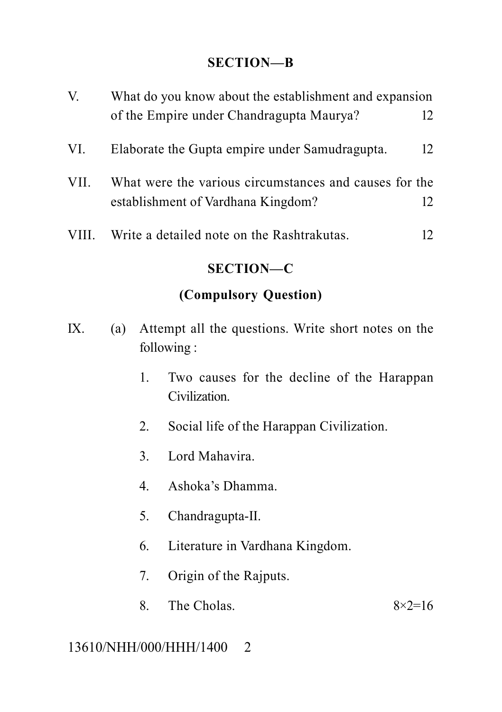#### **SECTION—B**

| V.               | What do you know about the establishment and expansion |    |  |
|------------------|--------------------------------------------------------|----|--|
|                  | of the Empire under Chandragupta Maurya?               | 12 |  |
| VI.              | Elaborate the Gupta empire under Samudragupta.         | 12 |  |
| VII.             | What were the various circumstances and causes for the |    |  |
|                  | establishment of Vardhana Kingdom?                     | 12 |  |
| VIII.            | Write a detailed note on the Rashtrakutas.             | 12 |  |
| <b>SECTION—C</b> |                                                        |    |  |

## **(Compulsory Question)**

- IX. (a) Attempt all the questions. Write short notes on the following :
	- 1. Two causes for the decline of the Harappan Civilization.
	- 2. Social life of the Harappan Civilization.
	- 3. Lord Mahavira.
	- 4. Ashoka's Dhamma.
	- 5. Chandragupta-II.
	- 6. Literature in Vardhana Kingdom.
	- 7. Origin of the Rajputs.
	- 8. The Cholas.  $8 \times 2 = 16$

#### 13610/NHH/000/HHH/1400 2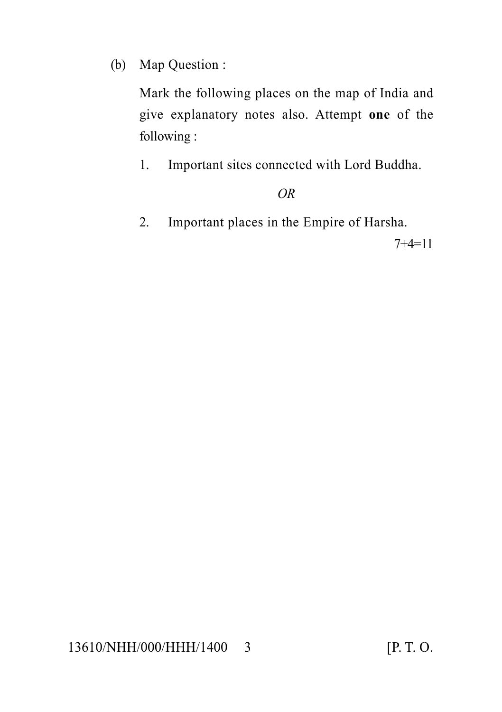(b) Map Question :

Mark the following places on the map of India and give explanatory notes also. Attempt **one** of the following :

1. Important sites connected with Lord Buddha.

## *OR*

2. Important places in the Empire of Harsha.

7+4=11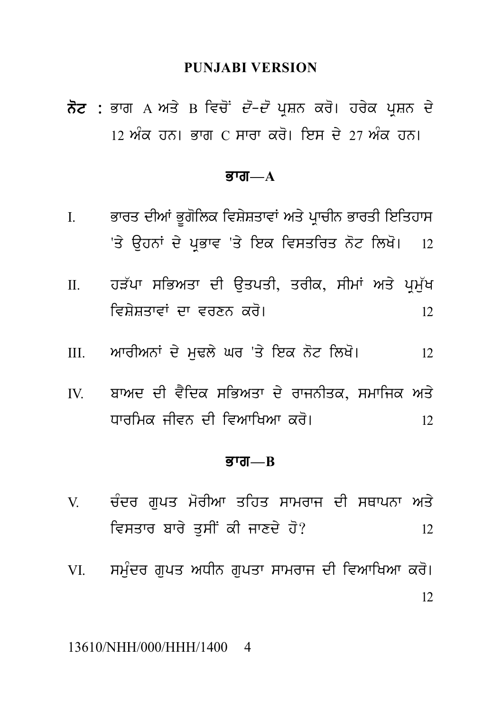#### **PUNJABI VERSION**

PUNJABI VERSION<br>ਨੋਟ : ਭਾਗ A ਅਤੇ B ਵਿਚੋਂ *ਦੋ–ਦੋ* ਪ੍ਰਸ਼ਨ ਕਰੋ। ਹਰੇਕ ਪ੍ਰਸ਼ਨ ਦੇ<br>12 ਅੰਕ ਹਨ। ਭਾਗ C ਸਾਰਾ ਕਰੋ। ਇਸ ਦੇ 27 ਅੰਕ ਹਨ। <mark>ਨੋਟ :</mark> ਭਾਗ A ਅਤੇ B ਵਿਚੋਂ *ਦੋ–ਦੋ* ਪ੍ਰਸ਼ਨ ਕਰੋ। ਹਰੇਕ ਪ੍ਰਸ਼ਨ ਦੇ<br>12 ਅੰਕ ਹਨ। ਭਾਗ C ਸਾਰਾ ਕਰੋ। ਇਸ ਦੇ 27 ਅੰਕ ਹਨ।

#### $\overline{g}$ ग्त $\overline{\phantom{a}}$

- ਭਾਗ—<br>ਭਾਗ—A<br>I. ਭਾਰਤ ਦੀਆਂ ਭੂਗੋਲਿਕ ਵਿਸ਼ੇਸ਼ਤਾਵਾਂ ਅਤੇ ਪ੍ਰਾਚੀਨ ਭਾਰਤੀ ਇਤਿਹਾਸ<br>'ਤੇ ਉਹਨਾਂ ਦੇ ਪ੍ਰਭਾਵ 'ਤੇ ਇਕ ਵਿਸਤਰਿਤ ਨੋਟ ਲਿਖੋ। ।2 **ਭਾਗ—A**<br>ਭਾਰਤ ਦੀਆਂ ਭੂਗੋਲਿਕ ਵਿਸ਼ੇਸ਼ਤਾਵਾਂ ਅਤੇ ਪ੍ਰਾਚੀਨ ਭਾਰਤੀ ਇਤਿਹਾਸ<br>'ਤੇ ਉਹਨਾਂ ਦੇ ਪ੍ਰਭਾਵ 'ਤੇ ਇਕ ਵਿਸਤਰਿਤ ਨੋਟ ਲਿਖੋ। 12<br>ਹੜੱਪਾ ਸਭਿਅਤਾ ਦੀ ਉਤਪਤੀ, ਤਰੀਕ, ਸੀਮਾਂ ਅਤੇ ਪ੍ਰਮੁੱਖ
- I. ਭਾਰਤ ਦੀਆਂ ਭੂਗੋਲਿਕ ਵਿਸ਼ੇਸ਼ਤਾਵਾਂ ਅਤੇ ਪ੍ਰਾਚੀਨ ਭਾਰਤੀ ਇਤਿਹਾਸ<br>'ਤੇ ਉਹਨਾਂ ਦੇ ਪ੍ਰਭਾਵ 'ਤੇ ਇਕ ਵਿਸਤਰਿਤ ਨੋਟ ਲਿਖੋ। 12<br>II. ਹੜੱਪਾ ਸਭਿਅਤਾ ਦੀ ਉਤਪਤੀ, ਤਰੀਕ, ਸੀਮਾਂ ਅਤੇ ਪ੍ਰਮੁੱਖ<br>ਵਿਸ਼ੇਸ਼ਤਾਵਾਂ ਦਾ ਵਰਣਨ ਕਰੋ। ivS ySqwvW dw vrxn kr o[ <sup>12</sup> III. AwrIAnW d y m uFl y Gr 'q y iek n ot ilK o[ <sup>12</sup>
- 
- IV. bwAd dI v Yidk siBAqw d y rwjnIqk, smwijk Aq y ਬਾਅਦ ਦੀ ਵੈਦਿਕ ਸਭਿਅਤਾ ਦੇ ਰਾਜਨੀਤਕ, ਸਮਾਜਿਕ ਅਤੇ<br>ਧਾਰਮਿਕ ਜੀਵਨ ਦੀ ਵਿਆਖਿਆ ਕਰੋ।

#### Bwg**—B**

- ਅਸਾਲ ਦਾ ਦਾ ਦਾ ਦਾ ਸਾਲ<br>ਭਾਗ—в<br>V. ਚੰਦਰ ਗੁਪਤ ਮੋਰੀਆ ਤਹਿਤ ਸਾਮਰਾਜ ਦੀ ਸਥਾਪਨਾ ਅਤੇ<br>ਵਿਸਤਾਰ ਬਾਰੇ ਤੁਸੀਂ ਕੀ ਜਾਣਦੇ ਹੋ? v. ਚੰਦਰ ਗੁਪਤ ਮੋਰੀਆ ਤਹਿਤ ਸਾਮਰਾਜ ਦੀ ਸਥਾਪਨਾ ਅਤੇ<br>12 ਵਿਸਤਾਰ ਬਾਰੇ ਤੁਸੀਂ ਕੀ ਜਾਣਦੇ ਹੋ?<br>VI. ਸਮੰਦਰ ਗਪਤ ਅਧੀਨ ਗਪਤਾ ਸਾਮਰਾਜ ਦੀ ਵਿਆਖਿਆ ਕਰੋ।
- V. ਚੰਦਰ ਗੁਪਤ ਮੋਰੀਆ ਤਹਿਤ ਸਾਮਰਾਜ ਦੀ ਸਥਾਪਨਾ ਅਤੇ<br>ਵਿਸਤਾਰ ਬਾਰੇ ਤੁਸੀਂ ਕੀ ਜਾਣਦੇ ਹੋ?<br>VI. ਸਮੁੰਦਰ ਗੁਪਤ ਅਧੀਨ ਗੁਪਤਾ ਸਾਮਰਾਜ ਦੀ ਵਿਆਖਿਆ ਕਰੋ।<br>12 12

#### 13610/NHH/000/HHH/1400 4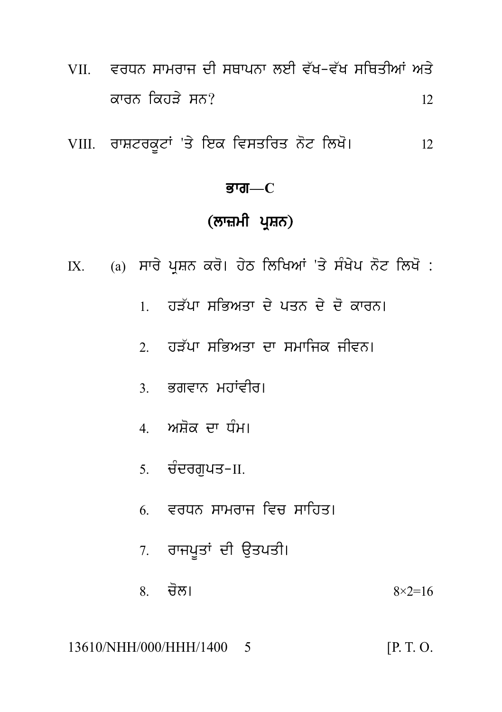- VII. ਵਰਧਨ ਸਾਮਰਾਜ ਦੀ ਸਥਾਪਨਾ ਲਈ ਵੱਖ-ਵੱਖ ਸਥਿਤੀਆਂ ਅਤੇ ਕਾਰਨ ਕਿਹੜੇ ਸਨ?  $12$
- VIII. ਰਾਸ਼ਟਰਕੂਟਾਂ 'ਤੇ ਇਕ ਵਿਸਤਰਿਤ ਨੋਟ ਲਿਖੋ। 12

#### ਭਾਗ $-C$

## (ਲਾਜ਼ਮੀ ਪ੍ਰਸ਼ਨ)

- IX. (a) ਸਾਰੇ ਪ੍ਰਸ਼ਨ ਕਰੋ। ਹੇਠ ਲਿਖਿਆਂ 'ਤੇ ਸੰਖੇਪ ਨੋਟ ਲਿਖੋ :
	- । ਹਤੱਪਾ ਸਭਿਅਤਾ ਦੇ ਪਤਨ ਦੇ ਦੋ ਕਾਰਨ।
	- ? ਹਤੱਪਾ ਸਭਿਅਤਾ ਦਾ ਸਮਾਜਿਕ ਜੀਵਨ।
	- 3 ਭਗਵਾਨ ਮਹਾਂਵੀਰ।
	- 4. ਅਸ਼ੋਕ ਦਾ ਧੰਮ।
	- 5. ਚੰਦਰਗਪਤ–II.
	- 6 ਵਰਧਨ ਸਾਮਰਾਜ ਵਿਚ ਸਾਹਿਤ।
	- 7. ਰਾਜਪੂਤਾਂ ਦੀ ਉਤਪਤੀ।
	- 8 ਚੋਲ।  $8 \times 2 = 16$

13610/NHH/000/HHH/1400 5  $[P. T. O.$